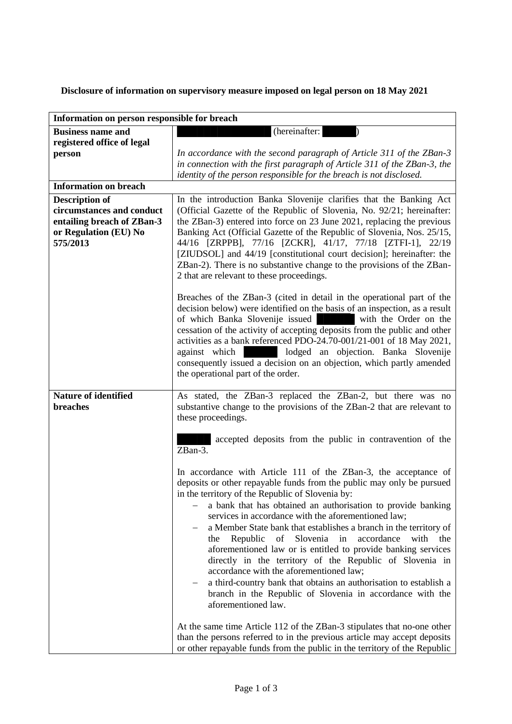**Disclosure of information on supervisory measure imposed on legal person on 18 May 2021**

| Information on person responsible for breach |                                                                                                                                                                                                                                                                                                                                                                                        |
|----------------------------------------------|----------------------------------------------------------------------------------------------------------------------------------------------------------------------------------------------------------------------------------------------------------------------------------------------------------------------------------------------------------------------------------------|
| <b>Business name and</b>                     | (hereinafter:                                                                                                                                                                                                                                                                                                                                                                          |
| registered office of legal                   |                                                                                                                                                                                                                                                                                                                                                                                        |
| person                                       | In accordance with the second paragraph of Article 311 of the ZBan-3                                                                                                                                                                                                                                                                                                                   |
|                                              | in connection with the first paragraph of Article 311 of the ZBan-3, the                                                                                                                                                                                                                                                                                                               |
|                                              | identity of the person responsible for the breach is not disclosed.                                                                                                                                                                                                                                                                                                                    |
| <b>Information on breach</b>                 |                                                                                                                                                                                                                                                                                                                                                                                        |
| <b>Description of</b>                        | In the introduction Banka Slovenije clarifies that the Banking Act                                                                                                                                                                                                                                                                                                                     |
| circumstances and conduct                    | (Official Gazette of the Republic of Slovenia, No. 92/21; hereinafter:                                                                                                                                                                                                                                                                                                                 |
| entailing breach of ZBan-3                   | the ZBan-3) entered into force on 23 June 2021, replacing the previous                                                                                                                                                                                                                                                                                                                 |
| or Regulation (EU) No                        | Banking Act (Official Gazette of the Republic of Slovenia, Nos. 25/15,                                                                                                                                                                                                                                                                                                                 |
| 575/2013                                     | 44/16 [ZRPPB], 77/16 [ZCKR], 41/17, 77/18 [ZTFI-1], 22/19                                                                                                                                                                                                                                                                                                                              |
|                                              | [ZIUDSOL] and 44/19 [constitutional court decision]; hereinafter: the                                                                                                                                                                                                                                                                                                                  |
|                                              | ZBan-2). There is no substantive change to the provisions of the ZBan-                                                                                                                                                                                                                                                                                                                 |
|                                              | 2 that are relevant to these proceedings.                                                                                                                                                                                                                                                                                                                                              |
|                                              | Breaches of the ZBan-3 (cited in detail in the operational part of the<br>decision below) were identified on the basis of an inspection, as a result<br>of which Banka Slovenije issued<br>with the Order on the                                                                                                                                                                       |
|                                              | cessation of the activity of accepting deposits from the public and other<br>activities as a bank referenced PDO-24.70-001/21-001 of 18 May 2021,<br>lodged an objection. Banka Slovenije<br>against which<br>consequently issued a decision on an objection, which partly amended<br>the operational part of the order.                                                               |
|                                              |                                                                                                                                                                                                                                                                                                                                                                                        |
| Nature of identified<br>breaches             | As stated, the ZBan-3 replaced the ZBan-2, but there was no<br>substantive change to the provisions of the ZBan-2 that are relevant to<br>these proceedings.                                                                                                                                                                                                                           |
|                                              | accepted deposits from the public in contravention of the<br>ZBan-3.                                                                                                                                                                                                                                                                                                                   |
|                                              | In accordance with Article 111 of the ZBan-3, the acceptance of<br>deposits or other repayable funds from the public may only be pursued<br>in the territory of the Republic of Slovenia by:                                                                                                                                                                                           |
|                                              | a bank that has obtained an authorisation to provide banking<br>services in accordance with the aforementioned law;                                                                                                                                                                                                                                                                    |
|                                              | a Member State bank that establishes a branch in the territory of<br>Slovenia<br>Republic<br>of<br>in<br>accordance<br>with<br>the<br>the<br>aforementioned law or is entitled to provide banking services<br>directly in the territory of the Republic of Slovenia in<br>accordance with the aforementioned law;<br>a third-country bank that obtains an authorisation to establish a |
|                                              | branch in the Republic of Slovenia in accordance with the<br>aforementioned law.                                                                                                                                                                                                                                                                                                       |
|                                              | At the same time Article 112 of the ZBan-3 stipulates that no-one other<br>than the persons referred to in the previous article may accept deposits<br>or other repayable funds from the public in the territory of the Republic                                                                                                                                                       |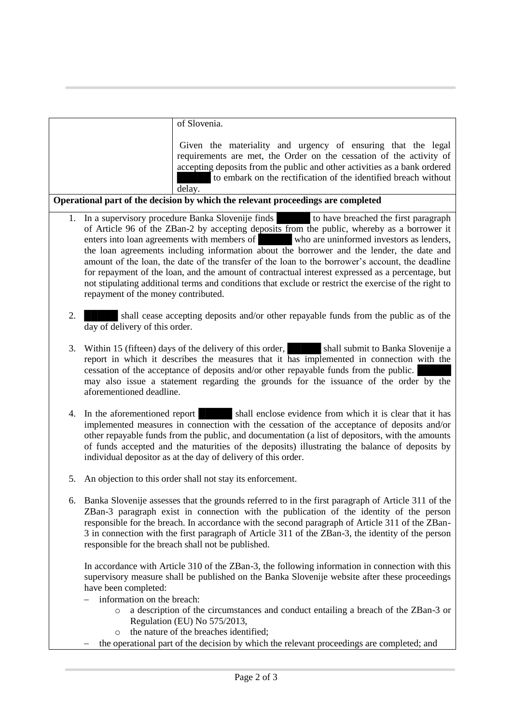|                                                                                  | of Slovenia.                                                                                                                                                                                                                                                                                                                                                                                                                                                                                                                                                                                                                                                                                                                                                                                                                                                                          |
|----------------------------------------------------------------------------------|---------------------------------------------------------------------------------------------------------------------------------------------------------------------------------------------------------------------------------------------------------------------------------------------------------------------------------------------------------------------------------------------------------------------------------------------------------------------------------------------------------------------------------------------------------------------------------------------------------------------------------------------------------------------------------------------------------------------------------------------------------------------------------------------------------------------------------------------------------------------------------------|
|                                                                                  | Given the materiality and urgency of ensuring that the legal<br>requirements are met, the Order on the cessation of the activity of<br>accepting deposits from the public and other activities as a bank ordered<br>to embark on the rectification of the identified breach without<br>delay.                                                                                                                                                                                                                                                                                                                                                                                                                                                                                                                                                                                         |
| Operational part of the decision by which the relevant proceedings are completed |                                                                                                                                                                                                                                                                                                                                                                                                                                                                                                                                                                                                                                                                                                                                                                                                                                                                                       |
| 1.                                                                               | In a supervisory procedure Banka Slovenije finds<br>In a supervisory procedure Banka Slovenije finds<br>In a supervisory procedure Banka Slovenije finds<br>In a supervisory procedure Banka Slovenije finds<br>In a supervisory banka<br>of Article 96 of the ZBan-2 by accepting deposits from the public, whereby as a borrower it<br>who are uninformed investors as lenders,<br>enters into loan agreements with members of<br>the loan agreements including information about the borrower and the lender, the date and<br>amount of the loan, the date of the transfer of the loan to the borrower's account, the deadline<br>for repayment of the loan, and the amount of contractual interest expressed as a percentage, but<br>not stipulating additional terms and conditions that exclude or restrict the exercise of the right to<br>repayment of the money contributed. |
| 2.                                                                               | shall cease accepting deposits and/or other repayable funds from the public as of the<br>day of delivery of this order.                                                                                                                                                                                                                                                                                                                                                                                                                                                                                                                                                                                                                                                                                                                                                               |
| 3.                                                                               | Within 15 (fifteen) days of the delivery of this order, shall submit to Banka Slovenije a<br>report in which it describes the measures that it has implemented in connection with the<br>cessation of the acceptance of deposits and/or other repayable funds from the public.<br>may also issue a statement regarding the grounds for the issuance of the order by the<br>aforementioned deadline.                                                                                                                                                                                                                                                                                                                                                                                                                                                                                   |
| 4.                                                                               | shall enclose evidence from which it is clear that it has<br>In the aforementioned report<br>implemented measures in connection with the cessation of the acceptance of deposits and/or<br>other repayable funds from the public, and documentation (a list of depositors, with the amounts<br>of funds accepted and the maturities of the deposits) illustrating the balance of deposits by<br>individual depositor as at the day of delivery of this order.                                                                                                                                                                                                                                                                                                                                                                                                                         |
| 5.                                                                               | An objection to this order shall not stay its enforcement.                                                                                                                                                                                                                                                                                                                                                                                                                                                                                                                                                                                                                                                                                                                                                                                                                            |
| 6.                                                                               | Banka Slovenije assesses that the grounds referred to in the first paragraph of Article 311 of the<br>ZBan-3 paragraph exist in connection with the publication of the identity of the person<br>responsible for the breach. In accordance with the second paragraph of Article 311 of the ZBan-<br>3 in connection with the first paragraph of Article 311 of the ZBan-3, the identity of the person<br>responsible for the breach shall not be published.                                                                                                                                                                                                                                                                                                                                                                                                                           |
|                                                                                  | In accordance with Article 310 of the ZBan-3, the following information in connection with this<br>supervisory measure shall be published on the Banka Slovenije website after these proceedings<br>have been completed:<br>information on the breach:                                                                                                                                                                                                                                                                                                                                                                                                                                                                                                                                                                                                                                |
|                                                                                  | a description of the circumstances and conduct entailing a breach of the ZBan-3 or<br>$\circ$<br>Regulation (EU) No 575/2013,                                                                                                                                                                                                                                                                                                                                                                                                                                                                                                                                                                                                                                                                                                                                                         |
|                                                                                  | the nature of the breaches identified;<br>$\circ$<br>the operational part of the decision by which the relevant proceedings are completed; and                                                                                                                                                                                                                                                                                                                                                                                                                                                                                                                                                                                                                                                                                                                                        |
|                                                                                  |                                                                                                                                                                                                                                                                                                                                                                                                                                                                                                                                                                                                                                                                                                                                                                                                                                                                                       |
|                                                                                  |                                                                                                                                                                                                                                                                                                                                                                                                                                                                                                                                                                                                                                                                                                                                                                                                                                                                                       |